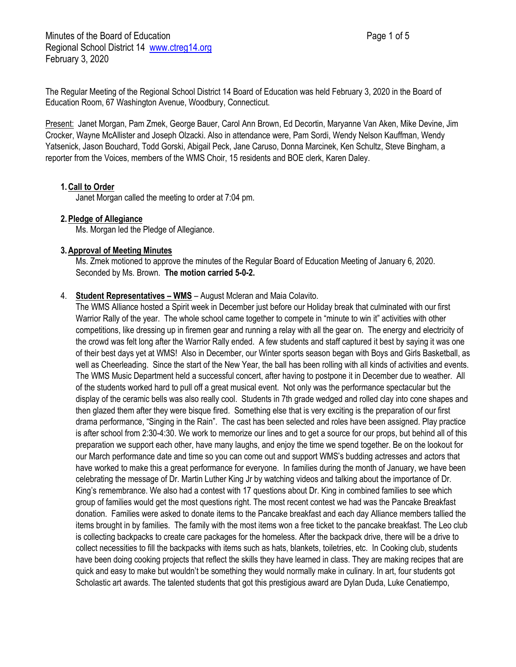Minutes of the Board of Education **Page 1 of 5** and 2 and 2 and 2 and 2 and 2 and 2 and 2 and 2 and 2 and 2 and 2 and 2 and 2 and 2 and 2 and 2 and 2 and 2 and 2 and 2 and 2 and 2 and 2 and 2 and 2 and 2 and 2 and 2 and 2 Regional School District 14 [www.ctreg14.org](http://www.ctreg14.org/) February 3, 2020

The Regular Meeting of the Regional School District 14 Board of Education was held February 3, 2020 in the Board of Education Room, 67 Washington Avenue, Woodbury, Connecticut.

Present: Janet Morgan, Pam Zmek, George Bauer, Carol Ann Brown, Ed Decortin, Maryanne Van Aken, Mike Devine, Jim Crocker, Wayne McAllister and Joseph Olzacki. Also in attendance were, Pam Sordi, Wendy Nelson Kauffman, Wendy Yatsenick, Jason Bouchard, Todd Gorski, Abigail Peck, Jane Caruso, Donna Marcinek, Ken Schultz, Steve Bingham, a reporter from the Voices, members of the WMS Choir, 15 residents and BOE clerk, Karen Daley.

## **1.Call to Order**

Janet Morgan called the meeting to order at 7:04 pm.

## **2.Pledge of Allegiance**

Ms. Morgan led the Pledge of Allegiance.

#### **3.Approval of Meeting Minutes**

Ms. Zmek motioned to approve the minutes of the Regular Board of Education Meeting of January 6, 2020. Seconded by Ms. Brown. **The motion carried 5-0-2.**

## 4. **Student Representatives – WMS** – August Mcleran and Maia Colavito.

The WMS Alliance hosted a Spirit week in December just before our Holiday break that culminated with our first Warrior Rally of the year. The whole school came together to compete in "minute to win it" activities with other competitions, like dressing up in firemen gear and running a relay with all the gear on. The energy and electricity of the crowd was felt long after the Warrior Rally ended. A few students and staff captured it best by saying it was one of their best days yet at WMS! Also in December, our Winter sports season began with Boys and Girls Basketball, as well as Cheerleading. Since the start of the New Year, the ball has been rolling with all kinds of activities and events. The WMS Music Department held a successful concert, after having to postpone it in December due to weather. All of the students worked hard to pull off a great musical event. Not only was the performance spectacular but the display of the ceramic bells was also really cool. Students in 7th grade wedged and rolled clay into cone shapes and then glazed them after they were bisque fired. Something else that is very exciting is the preparation of our first drama performance, "Singing in the Rain". The cast has been selected and roles have been assigned. Play practice is after school from 2:30-4:30. We work to memorize our lines and to get a source for our props, but behind all of this preparation we support each other, have many laughs, and enjoy the time we spend together. Be on the lookout for our March performance date and time so you can come out and support WMS's budding actresses and actors that have worked to make this a great performance for everyone. In families during the month of January, we have been celebrating the message of Dr. Martin Luther King Jr by watching videos and talking about the importance of Dr. King's remembrance. We also had a contest with 17 questions about Dr. King in combined families to see which group of families would get the most questions right. The most recent contest we had was the Pancake Breakfast donation. Families were asked to donate items to the Pancake breakfast and each day Alliance members tallied the items brought in by families. The family with the most items won a free ticket to the pancake breakfast. The Leo club is collecting backpacks to create care packages for the homeless. After the backpack drive, there will be a drive to collect necessities to fill the backpacks with items such as hats, blankets, toiletries, etc. In Cooking club, students have been doing cooking projects that reflect the skills they have learned in class. They are making recipes that are quick and easy to make but wouldn't be something they would normally make in culinary. In art, four students got Scholastic art awards. The talented students that got this prestigious award are Dylan Duda, Luke Cenatiempo,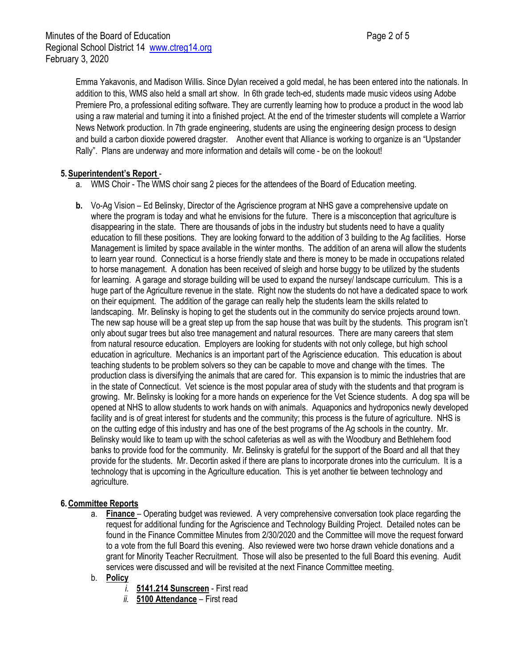Emma Yakavonis, and Madison Willis. Since Dylan received a gold medal, he has been entered into the nationals. In addition to this, WMS also held a small art show. In 6th grade tech-ed, students made music videos using Adobe Premiere Pro, a professional editing software. They are currently learning how to produce a product in the wood lab using a raw material and turning it into a finished project. At the end of the trimester students will complete a Warrior News Network production. In 7th grade engineering, students are using the engineering design process to design and build a carbon dioxide powered dragster. Another event that Alliance is working to organize is an "Upstander Rally". Plans are underway and more information and details will come - be on the lookout!

# **5.Superintendent's Report** -

- a. WMS Choir The WMS choir sang 2 pieces for the attendees of the Board of Education meeting.
- **b.** Vo-Ag Vision Ed Belinsky, Director of the Agriscience program at NHS gave a comprehensive update on where the program is today and what he envisions for the future. There is a misconception that agriculture is disappearing in the state. There are thousands of jobs in the industry but students need to have a quality education to fill these positions. They are looking forward to the addition of 3 building to the Ag facilities. Horse Management is limited by space available in the winter months. The addition of an arena will allow the students to learn year round. Connecticut is a horse friendly state and there is money to be made in occupations related to horse management. A donation has been received of sleigh and horse buggy to be utilized by the students for learning. A garage and storage building will be used to expand the nursey/ landscape curriculum. This is a huge part of the Agriculture revenue in the state. Right now the students do not have a dedicated space to work on their equipment. The addition of the garage can really help the students learn the skills related to landscaping. Mr. Belinsky is hoping to get the students out in the community do service projects around town. The new sap house will be a great step up from the sap house that was built by the students. This program isn't only about sugar trees but also tree management and natural resources. There are many careers that stem from natural resource education. Employers are looking for students with not only college, but high school education in agriculture. Mechanics is an important part of the Agriscience education. This education is about teaching students to be problem solvers so they can be capable to move and change with the times. The production class is diversifying the animals that are cared for. This expansion is to mimic the industries that are in the state of Connecticut. Vet science is the most popular area of study with the students and that program is growing. Mr. Belinsky is looking for a more hands on experience for the Vet Science students. A dog spa will be opened at NHS to allow students to work hands on with animals. Aquaponics and hydroponics newly developed facility and is of great interest for students and the community; this process is the future of agriculture. NHS is on the cutting edge of this industry and has one of the best programs of the Ag schools in the country. Mr. Belinsky would like to team up with the school cafeterias as well as with the Woodbury and Bethlehem food banks to provide food for the community. Mr. Belinsky is grateful for the support of the Board and all that they provide for the students. Mr. Decortin asked if there are plans to incorporate drones into the curriculum. It is a technology that is upcoming in the Agriculture education. This is yet another tie between technology and agriculture.

## **6.Committee Reports**

a. **Finance** – Operating budget was reviewed. A very comprehensive conversation took place regarding the request for additional funding for the Agriscience and Technology Building Project. Detailed notes can be found in the Finance Committee Minutes from 2/30/2020 and the Committee will move the request forward to a vote from the full Board this evening. Also reviewed were two horse drawn vehicle donations and a grant for Minority Teacher Recruitment. Those will also be presented to the full Board this evening. Audit services were discussed and will be revisited at the next Finance Committee meeting.

## b. **Policy**

- *i.* **5141.214 Sunscreen** First read
- *ii.* **5100 Attendance** First read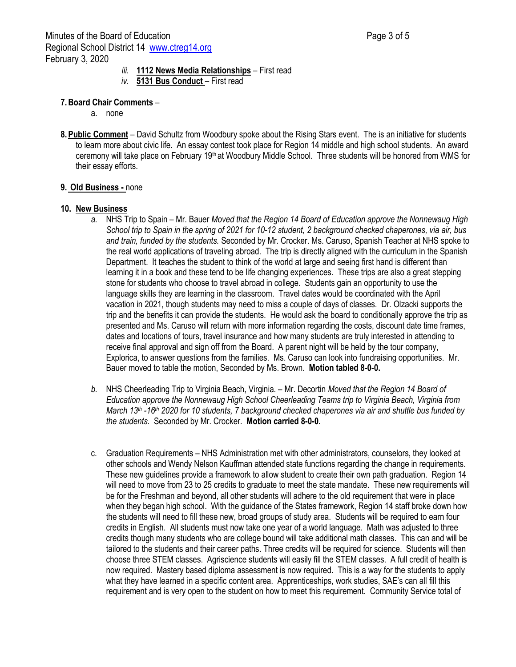- *iii.* **1112 News Media Relationships** First read
- *iv.* **5131 Bus Conduct** First read

## **7.Board Chair Comments** –

- a. none
- **8.Public Comment** David Schultz from Woodbury spoke about the Rising Stars event. The is an initiative for students to learn more about civic life. An essay contest took place for Region 14 middle and high school students. An award ceremony will take place on February 19th at Woodbury Middle School. Three students will be honored from WMS for their essay efforts.

#### **9. Old Business -** none

#### **10. New Business**

- *a.* NHS Trip to Spain Mr. Bauer *Moved that the Region 14 Board of Education approve the Nonnewaug High School trip to Spain in the spring of 2021 for 10-12 student, 2 background checked chaperones, via air, bus and train, funded by the students.* Seconded by Mr. Crocker. Ms. Caruso, Spanish Teacher at NHS spoke to the real world applications of traveling abroad. The trip is directly aligned with the curriculum in the Spanish Department. It teaches the student to think of the world at large and seeing first hand is different than learning it in a book and these tend to be life changing experiences. These trips are also a great stepping stone for students who choose to travel abroad in college. Students gain an opportunity to use the language skills they are learning in the classroom. Travel dates would be coordinated with the April vacation in 2021, though students may need to miss a couple of days of classes. Dr. Olzacki supports the trip and the benefits it can provide the students. He would ask the board to conditionally approve the trip as presented and Ms. Caruso will return with more information regarding the costs, discount date time frames, dates and locations of tours, travel insurance and how many students are truly interested in attending to receive final approval and sign off from the Board. A parent night will be held by the tour company, Explorica, to answer questions from the families. Ms. Caruso can look into fundraising opportunities.Mr. Bauer moved to table the motion, Seconded by Ms. Brown. **Motion tabled 8-0-0.**
- *b.* NHS Cheerleading Trip to Virginia Beach, Virginia. Mr. Decortin *Moved that the Region 14 Board of Education approve the Nonnewaug High School Cheerleading Teams trip to Virginia Beach, Virginia from March 13th -16th 2020 for 10 students, 7 background checked chaperones via air and shuttle bus funded by the students.* Seconded by Mr. Crocker. **Motion carried 8-0-0.**
- c. Graduation Requirements NHS Administration met with other administrators, counselors, they looked at other schools and Wendy Nelson Kauffman attended state functions regarding the change in requirements. These new guidelines provide a framework to allow student to create their own path graduation. Region 14 will need to move from 23 to 25 credits to graduate to meet the state mandate. These new requirements will be for the Freshman and beyond, all other students will adhere to the old requirement that were in place when they began high school. With the guidance of the States framework, Region 14 staff broke down how the students will need to fill these new, broad groups of study area. Students will be required to earn four credits in English. All students must now take one year of a world language. Math was adjusted to three credits though many students who are college bound will take additional math classes. This can and will be tailored to the students and their career paths. Three credits will be required for science. Students will then choose three STEM classes. Agriscience students will easily fill the STEM classes. A full credit of health is now required. Mastery based diploma assessment is now required. This is a way for the students to apply what they have learned in a specific content area. Apprenticeships, work studies, SAE's can all fill this requirement and is very open to the student on how to meet this requirement. Community Service total of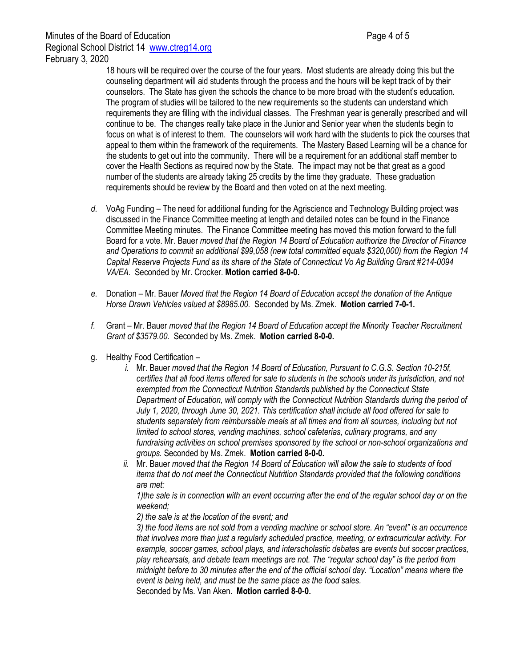18 hours will be required over the course of the four years. Most students are already doing this but the counseling department will aid students through the process and the hours will be kept track of by their counselors. The State has given the schools the chance to be more broad with the student's education. The program of studies will be tailored to the new requirements so the students can understand which requirements they are filling with the individual classes. The Freshman year is generally prescribed and will continue to be. The changes really take place in the Junior and Senior year when the students begin to focus on what is of interest to them. The counselors will work hard with the students to pick the courses that appeal to them within the framework of the requirements. The Mastery Based Learning will be a chance for the students to get out into the community. There will be a requirement for an additional staff member to cover the Health Sections as required now by the State. The impact may not be that great as a good number of the students are already taking 25 credits by the time they graduate. These graduation requirements should be review by the Board and then voted on at the next meeting.

- *d.* VoAg Funding The need for additional funding for the Agriscience and Technology Building project was discussed in the Finance Committee meeting at length and detailed notes can be found in the Finance Committee Meeting minutes. The Finance Committee meeting has moved this motion forward to the full Board for a vote. Mr. Bauer *moved that the Region 14 Board of Education authorize the Director of Finance and Operations to commit an additional \$99,058 (new total committed equals \$320,000) from the Region 14 Capital Reserve Projects Fund as its share of the State of Connecticut Vo Ag Building Grant #214-0094 VA/EA.* Seconded by Mr. Crocker. **Motion carried 8-0-0.**
- *e.* Donation Mr. Bauer *Moved that the Region 14 Board of Education accept the donation of the Antique Horse Drawn Vehicles valued at \$8985.00.* Seconded by Ms. Zmek. **Motion carried 7-0-1.**
- *f.* Grant Mr. Bauer *moved that the Region 14 Board of Education accept the Minority Teacher Recruitment Grant of \$3579.00.* Seconded by Ms. Zmek. **Motion carried 8-0-0.**
- g. Healthy Food Certification
	- *i.* Mr. Bauer *moved that the Region 14 Board of Education, Pursuant to C.G.S. Section 10-215f, certifies that all food items offered for sale to students in the schools under its jurisdiction, and not exempted from the Connecticut Nutrition Standards published by the Connecticut State Department of Education, will comply with the Connecticut Nutrition Standards during the period of July 1, 2020, through June 30, 2021. This certification shall include all food offered for sale to students separately from reimbursable meals at all times and from all sources, including but not limited to school stores, vending machines, school cafeterias, culinary programs, and any fundraising activities on school premises sponsored by the school or non-school organizations and groups.* Seconded by Ms. Zmek. **Motion carried 8-0-0.**
	- *ii.* Mr. Bauer *moved that the Region 14 Board of Education will allow the sale to students of food items that do not meet the Connecticut Nutrition Standards provided that the following conditions are met:*

*1)the sale is in connection with an event occurring after the end of the regular school day or on the weekend;* 

*2) the sale is at the location of the event; and* 

*3) the food items are not sold from a vending machine or school store. An "event" is an occurrence that involves more than just a regularly scheduled practice, meeting, or extracurricular activity. For example, soccer games, school plays, and interscholastic debates are events but soccer practices, play rehearsals, and debate team meetings are not. The "regular school day" is the period from midnight before to 30 minutes after the end of the official school day. "Location" means where the event is being held, and must be the same place as the food sales.*

Seconded by Ms. Van Aken. **Motion carried 8-0-0.**